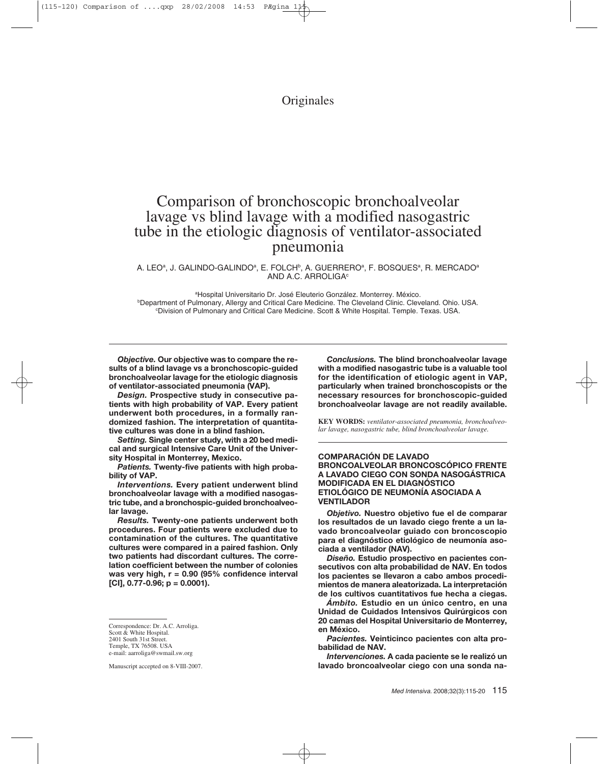## **Originales**

# Comparison of bronchoscopic bronchoalveolar lavage vs blind lavage with a modified nasogastric tube in the etiologic diagnosis of ventilator-associated pneumonia

A. LEO<sup>a</sup>, J. GALINDO-GALINDO<sup>a</sup>, E. FOLCH<sup>b</sup>, A. GUERRERO<sup>a</sup>, F. BOSQUES<sup>a</sup>, R. MERCADO<sup>a</sup> AND A.C. ARROLIGA<sup>c</sup>

aHospital Universitario Dr. José Eleuterio González. Monterrey. México. **bDepartment of Pulmonary, Allergy and Critical Care Medicine. The Cleveland Clinic. Cleveland. Ohio. USA.** c Division of Pulmonary and Critical Care Medicine. Scott & White Hospital. Temple. Texas. USA.

*Objective.* **Our objective was to compare the results of a blind lavage vs a bronchoscopic-guided bronchoalveolar lavage for the etiologic diagnosis of ventilator-associated pneumonia (VAP).**

*Design.* **Prospective study in consecutive patients with high probability of VAP. Every patient underwent both procedures, in a formally randomized fashion. The interpretation of quantitative cultures was done in a blind fashion.**

*Setting.* **Single center study, with a 20 bed medical and surgical Intensive Care Unit of the University Hospital in Monterrey, Mexico.** 

*Patients.* **Twenty-five patients with high probability of VAP.**

*Interventions.* **Every patient underwent blind bronchoalveolar lavage with a modified nasogastric tube, and a bronchospic-guided bronchoalveolar lavage.**

*Results.* **Twenty-one patients underwent both procedures. Four patients were excluded due to contamination of the cultures. The quantitative cultures were compared in a paired fashion. Only two patients had discordant cultures. The correlation coefficient between the number of colonies was very high, r = 0.90 (95% confidence interval [CI], 0.77-0.96; p = 0.0001).**

Correspondence: Dr. A.C. Arroliga. Scott & White Hospital. 2401 South 31st Street.

Temple, TX 76508. USA

Manuscript accepted on 8-VIII-2007.

*Conclusions.* **The blind bronchoalveolar lavage with a modified nasogastric tube is a valuable tool for the identification of etiologic agent in VAP, particularly when trained bronchoscopists or the necessary resources for bronchoscopic-guided bronchoalveolar lavage are not readily available.**

**KEY WORDS:** *ventilator-associated pneumonia, bronchoalveolar lavage, nasogastric tube, blind bronchoalveolar lavage.*

#### **COMPARACIÓN DE LAVADO BRONCOALVEOLAR BRONCOSCÓPICO FRENTE A LAVADO CIEGO CON SONDA NASOGÁSTRICA MODIFICADA EN EL DIAGNÓSTICO ETIOLÓGICO DE NEUMONÍA ASOCIADA A VENTILADOR**

*Objetivo.* **Nuestro objetivo fue el de comparar los resultados de un lavado ciego frente a un lavado broncoalveolar guiado con broncoscopio para el diagnóstico etiológico de neumonía asociada a ventilador (NAV).**

*Diseño.* **Estudio prospectivo en pacientes consecutivos con alta probabilidad de NAV. En todos los pacientes se llevaron a cabo ambos procedimientos de manera aleatorizada. La interpretación de los cultivos cuantitativos fue hecha a ciegas.**

*Ámbito.* **Estudio en un único centro, en una Unidad de Cuidados Intensivos Quirúrgicos con 20 camas del Hospital Universitario de Monterrey, en México.**

*Pacientes.* **Veinticinco pacientes con alta probabilidad de NAV.**

*Intervenciones.* **A cada paciente se le realizó un lavado broncoalveolar ciego con una sonda na-**

e-mail: aarroliga@swmail.sw.org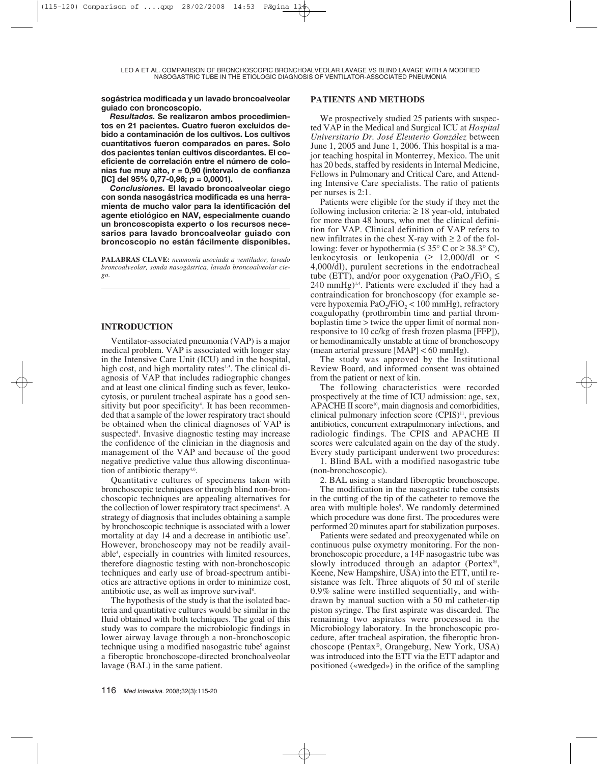**sogástrica modificada y un lavado broncoalveolar guiado con broncoscopio.**

*Resultados.* **Se realizaron ambos procedimientos en 21 pacientes. Cuatro fueron excluidos debido a contaminación de los cultivos. Los cultivos cuantitativos fueron comparados en pares. Solo dos pacientes tenían cultivos discordantes. El coeficiente de correlación entre el número de colonias fue muy alto, r = 0,90 (intervalo de confianza [IC] del 95% 0,77-0,96; p = 0,0001).**

*Conclusiones.* **El lavado broncoalveolar ciego con sonda nasogástrica modificada es una herramienta de mucho valor para la identificación del agente etiológico en NAV, especialmente cuando un broncoscopista experto o los recursos necesarios para lavado broncoalveolar guiado con broncoscopio no están fácilmente disponibles.**

**PALABRAS CLAVE:** *neumonía asociada a ventilador, lavado broncoalveolar, sonda nasogástrica, lavado broncoalveolar ciego.*

## **INTRODUCTION**

Ventilator-associated pneumonia (VAP) is a major medical problem. VAP is associated with longer stay in the Intensive Care Unit (ICU) and in the hospital, high cost, and high mortality rates $1-5$ . The clinical diagnosis of VAP that includes radiographic changes and at least one clinical finding such as fever, leukocytosis, or purulent tracheal aspirate has a good sensitivity but poor specificity<sup>4</sup>. It has been recommended that a sample of the lower respiratory tract should be obtained when the clinical diagnoses of VAP is suspected<sup>4</sup>. Invasive diagnostic testing may increase the confidence of the clinician in the diagnosis and management of the VAP and because of the good negative predictive value thus allowing discontinuation of antibiotic therapy<sup>4,6</sup>.

Quantitative cultures of specimens taken with bronchoscopic techniques or through blind non-bronchoscopic techniques are appealing alternatives for the collection of lower respiratory tract specimens<sup>4</sup>. A strategy of diagnosis that includes obtaining a sample by bronchoscopic technique is associated with a lower mortality at day 14 and a decrease in antibiotic use<sup>7</sup>. However, bronchoscopy may not be readily available4 , especially in countries with limited resources, therefore diagnostic testing with non-bronchoscopic techniques and early use of broad-spectrum antibiotics are attractive options in order to minimize cost, antibiotic use, as well as improve survival<sup>8</sup>.

The hypothesis of the study is that the isolated bacteria and quantitative cultures would be similar in the fluid obtained with both techniques. The goal of this study was to compare the microbiologic findings in lower airway lavage through a non-bronchoscopic technique using a modified nasogastric tube<sup>9</sup> against a fiberoptic bronchoscope-directed bronchoalveolar lavage (BAL) in the same patient.

### **PATIENTS AND METHODS**

We prospectively studied 25 patients with suspected VAP in the Medical and Surgical ICU at *Hospital Universitario Dr. José Eleuterio González* between June 1, 2005 and June 1, 2006. This hospital is a major teaching hospital in Monterrey, Mexico. The unit has 20 beds, staffed by residents in Internal Medicine, Fellows in Pulmonary and Critical Care, and Attending Intensive Care specialists. The ratio of patients per nurses is 2:1.

Patients were eligible for the study if they met the following inclusion criteria:  $\geq 18$  year-old, intubated for more than 48 hours, who met the clinical definition for VAP. Clinical definition of VAP refers to new infiltrates in the chest X-ray with  $\geq 2$  of the following: fever or hypothermia ( $\leq 35^{\circ}$  C or  $\geq 38.3^{\circ}$  C), leukocytosis or leukopenia ( $\geq$  12,000/dl or  $\leq$ 4,000/dl), purulent secretions in the endotracheal tube (ETT), and/or poor oxygenation (PaO<sub>2</sub>/FiO<sub>2</sub>  $\leq$  $240 \text{ mmHg}$ <sup>1,4</sup>. Patients were excluded if they had a contraindication for bronchoscopy (for example severe hypoxemia PaO<sub>2</sub>/FiO<sub>2</sub> < 100 mmHg), refractory coagulopathy (prothrombin time and partial thromboplastin time > twice the upper limit of normal nonresponsive to 10 cc/kg of fresh frozen plasma [FFP]), or hemodinamically unstable at time of bronchoscopy (mean arterial pressure  $[MAP] < 60$  mmHg).

The study was approved by the Institutional Review Board, and informed consent was obtained from the patient or next of kin.

The following characteristics were recorded prospectively at the time of ICU admission: age, sex, APACHE II score<sup>10</sup>, main diagnosis and comorbidities, clinical pulmonary infection score  $(CPIS)^{11}$ , previous antibiotics, concurrent extrapulmonary infections, and radiologic findings. The CPIS and APACHE II scores were calculated again on the day of the study. Every study participant underwent two procedures:

1. Blind BAL with a modified nasogastric tube (non-bronchoscopic).

2. BAL using a standard fiberoptic bronchoscope.

The modification in the nasogastric tube consists in the cutting of the tip of the catheter to remove the area with multiple holes<sup>9</sup>. We randomly determined which procedure was done first. The procedures were performed 20 minutes apart for stabilization purposes.

Patients were sedated and preoxygenated while on continuous pulse oxymetry monitoring. For the nonbronchoscopic procedure, a 14F nasogastric tube was slowly introduced through an adaptor (Portex®, Keene, New Hampshire, USA) into the ETT, until resistance was felt. Three aliquots of 50 ml of sterile 0.9% saline were instilled sequentially, and withdrawn by manual suction with a 50 ml catheter-tip piston syringe. The first aspirate was discarded. The remaining two aspirates were processed in the Microbiology laboratory. In the bronchoscopic procedure, after tracheal aspiration, the fiberoptic bronchoscope (Pentax®, Orangeburg, New York, USA) was introduced into the ETT via the ETT adaptor and positioned («wedged») in the orifice of the sampling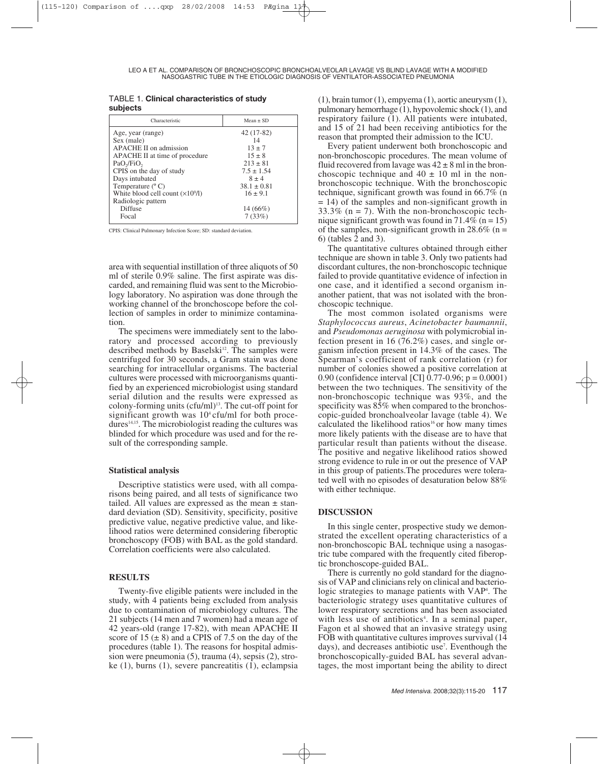| <b>TABLE 1. Clinical characteristics of study</b> |  |  |
|---------------------------------------------------|--|--|
| subjects                                          |  |  |

| Characteristic                           | $Mean + SD$     |
|------------------------------------------|-----------------|
| Age, year (range)                        | $42(17-82)$     |
| Sex (male)                               | 14              |
| APACHE II on admission                   | $13 \pm 7$      |
| APACHE II at time of procedure           | $15 \pm 8$      |
| PaO <sub>2</sub> /FiO <sub>2</sub>       | $213 \pm 81$    |
| CPIS on the day of study                 | $7.5 \pm 1.54$  |
| Days intubated                           | $8 \pm 4$       |
| Temperature $(^{\circ}C)$                | $38.1 \pm 0.81$ |
| White blood cell count $(\times 10^9/1)$ | $16 \pm 9.1$    |
| Radiologic pattern                       |                 |
| Diffuse                                  | $14(66\%)$      |
| Focal                                    | 7(33%)          |
|                                          |                 |

CPIS: Clinical Pulmonary Infection Score; SD: standard deviation.

area with sequential instillation of three aliquots of 50 ml of sterile 0.9% saline. The first aspirate was discarded, and remaining fluid was sent to the Microbiology laboratory. No aspiration was done through the working channel of the bronchoscope before the collection of samples in order to minimize contamination.

The specimens were immediately sent to the laboratory and processed according to previously described methods by Baselski<sup>12</sup>. The samples were centrifuged for 30 seconds, a Gram stain was done searching for intracellular organisms. The bacterial cultures were processed with microorganisms quantified by an experienced microbiologist using standard serial dilution and the results were expressed as colony-forming units  $(cfu/ml)^{13}$ . The cut-off point for significant growth was  $10<sup>4</sup>$  cfu/ml for both procedures<sup>14,15</sup>. The microbiologist reading the cultures was blinded for which procedure was used and for the result of the corresponding sample.

#### **Statistical analysis**

Descriptive statistics were used, with all comparisons being paired, and all tests of significance two tailed. All values are expressed as the mean  $\pm$  standard deviation (SD). Sensitivity, specificity, positive predictive value, negative predictive value, and likelihood ratios were determined considering fiberoptic bronchoscopy (FOB) with BAL as the gold standard. Correlation coefficients were also calculated.

## **RESULTS**

Twenty-five eligible patients were included in the study, with 4 patients being excluded from analysis due to contamination of microbiology cultures. The 21 subjects (14 men and 7 women) had a mean age of 42 years-old (range 17-82), with mean APACHE II score of  $15 (\pm 8)$  and a CPIS of 7.5 on the day of the procedures (table 1). The reasons for hospital admission were pneumonia (5), trauma (4), sepsis (2), stroke (1), burns (1), severe pancreatitis (1), eclampsia

(1), brain tumor (1), empyema (1), aortic aneurysm (1), pulmonary hemorrhage (1), hypovolemic shock (1), and respiratory failure (1). All patients were intubated, and 15 of 21 had been receiving antibiotics for the reason that prompted their admission to the ICU.

Every patient underwent both bronchoscopic and non-bronchoscopic procedures. The mean volume of fluid recovered from lavage was  $42 \pm 8$  ml in the bronchoscopic technique and  $40 \pm 10$  ml in the nonbronchoscopic technique. With the bronchoscopic technique, significant growth was found in 66.7% (n = 14) of the samples and non-significant growth in  $33.3\%$  (n = 7). With the non-bronchoscopic technique significant growth was found in  $71.4\%$  (n = 15) of the samples, non-significant growth in 28.6% ( $n =$ 6) (tables 2 and 3).

The quantitative cultures obtained through either technique are shown in table 3. Only two patients had discordant cultures, the non-bronchoscopic technique failed to provide quantitative evidence of infection in one case, and it identified a second organism inanother patient, that was not isolated with the bronchoscopic technique.

The most common isolated organisms were *Staphylococcus aureus*, *Acinetobacter baumannii*, and *Pseudomonas aeruginosa* with polymicrobial infection present in 16 (76.2%) cases, and single organism infection present in 14.3% of the cases. The Spearman's coefficient of rank correlation (r) for number of colonies showed a positive correlation at 0.90 (confidence interval [CI] 0.77-0.96; p = 0.0001) between the two techniques. The sensitivity of the non-bronchoscopic technique was 93%, and the specificity was 85% when compared to the bronchoscopic-guided bronchoalveolar lavage (table 4). We calculated the likelihood ratios<sup>16</sup> or how many times more likely patients with the disease are to have that particular result than patients without the disease. The positive and negative likelihood ratios showed strong evidence to rule in or out the presence of VAP in this group of patients.The procedures were tolerated well with no episodes of desaturation below 88% with either technique.

#### **DISCUSSION**

In this single center, prospective study we demonstrated the excellent operating characteristics of a non-bronchoscopic BAL technique using a nasogastric tube compared with the frequently cited fiberoptic bronchoscope-guided BAL.

There is currently no gold standard for the diagnosis of VAP and clinicians rely on clinical and bacteriologic strategies to manage patients with VAP<sup>4</sup>. The bacteriologic strategy uses quantitative cultures of lower respiratory secretions and has been associated with less use of antibiotics<sup>4</sup>. In a seminal paper, Fagon et al showed that an invasive strategy using FOB with quantitative cultures improves survival (14 days), and decreases antibiotic use<sup>7</sup>. Eventhough the bronchoscopically-guided BAL has several advantages, the most important being the ability to direct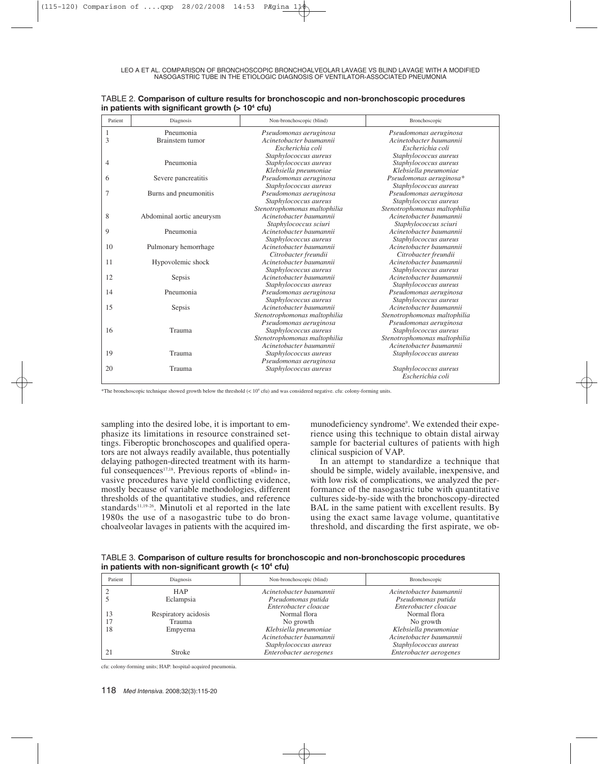| Patient | Diagnosis                 | Non-bronchoscopic (blind)    | Bronchoscopic                |
|---------|---------------------------|------------------------------|------------------------------|
| 1       | Pneumonia                 | Pseudomonas aeruginosa       | Pseudomonas aeruginosa       |
| 3       | Brainstem tumor           | Acinetobacter baumannii      | Acinetobacter baumannii      |
|         |                           | Escherichia coli             | Escherichia coli             |
|         |                           | Staphylococcus aureus        | Staphylococcus aureus        |
| 4       | Pneumonia                 | Staphylococcus aureus        | Staphylococcus aureus        |
|         |                           | Klebsiella pneumoniae        | Klebsiella pneumoniae        |
| 6       | Severe pancreatitis       | Pseudomonas aeruginosa       | Pseudomonas aeruginosa*      |
|         |                           | Staphylococcus aureus        | Staphylococcus aureus        |
| 7       | Burns and pneumonitis     | Pseudomonas aeruginosa       | Pseudomonas aeruginosa       |
|         |                           | Staphylococcus aureus        | Staphylococcus aureus        |
|         |                           | Stenotrophomonas maltophilia | Stenotrophomonas maltophilia |
| 8       | Abdominal aortic aneurysm | Acinetobacter baumannii      | Acinetobacter baumannii      |
|         |                           | Staphylococcus sciuri        | Staphylococcus sciuri        |
| 9       | Pneumonia                 | Acinetobacter baumannii      | Acinetobacter baumannii      |
|         |                           | Staphylococcus aureus        | Staphylococcus aureus        |
| 10      | Pulmonary hemorrhage      | Acinetobacter baumannii      | Acinetobacter baumannii      |
|         |                           | Citrobacter freundii         | Citrobacter freundii         |
| 11      | Hypovolemic shock         | Acinetobacter baumannii      | Acinetobacter baumannii      |
|         |                           | Staphylococcus aureus        | Staphylococcus aureus        |
| 12      | Sepsis                    | Acinetobacter baumannii      | Acinetobacter baumannii      |
|         |                           | Staphylococcus aureus        | Staphylococcus aureus        |
| 14      | Pneumonia                 | Pseudomonas aeruginosa       | Pseudomonas aeruginosa       |
|         |                           | Staphylococcus aureus        | Staphylococcus aureus        |
| 15      | Sepsis                    | Acinetobacter baumannii      | Acinetobacter baumannii      |
|         |                           | Stenotrophomonas maltophilia | Stenotrophomonas maltophilia |
|         |                           | Pseudomonas aeruginosa       | Pseudomonas aeruginosa       |
| 16      | Trauma                    | Staphylococcus aureus        | Staphylococcus aureus        |
|         |                           | Stenotrophomonas maltophilia | Stenotrophomonas maltophilia |
|         |                           | Acinetobacter baumannii      | Acinetobacter baumannii      |
| 19      | Trauma                    | Staphylococcus aureus        | Staphylococcus aureus        |
|         |                           | Pseudomonas aeruginosa       |                              |
| 20      | Trauma                    | Staphylococcus aureus        | Staphylococcus aureus        |
|         |                           |                              | Escherichia coli             |

| TABLE 2. Comparison of culture results for bronchoscopic and non-bronchoscopic procedures |
|-------------------------------------------------------------------------------------------|
| in patients with significant growth (> $10^4$ cfu)                                        |

\*The bronchoscopic technique showed growth below the threshold (< 104 cfu) and was considered negative. cfu: colony-forming units.

sampling into the desired lobe, it is important to emphasize its limitations in resource constrained settings. Fiberoptic bronchoscopes and qualified operators are not always readily available, thus potentially delaying pathogen-directed treatment with its harmful consequences<sup>17,18</sup>. Previous reports of «blind» invasive procedures have yield conflicting evidence, mostly because of variable methodologies, different thresholds of the quantitative studies, and reference standards<sup>11,19-26</sup>. Minutoli et al reported in the late 1980s the use of a nasogastric tube to do bronchoalveolar lavages in patients with the acquired im-

munodeficiency syndrome<sup>9</sup>. We extended their experience using this technique to obtain distal airway sample for bacterial cultures of patients with high clinical suspicion of VAP.

In an attempt to standardize a technique that should be simple, widely available, inexpensive, and with low risk of complications, we analyzed the performance of the nasogastric tube with quantitative cultures side-by-side with the bronchoscopy-directed BAL in the same patient with excellent results. By using the exact same lavage volume, quantitative threshold, and discarding the first aspirate, we ob-

TABLE 3. **Comparison of culture results for bronchoscopic and non-bronchoscopic procedures in patients with non-significant growth (< 104 cfu)**

| Patient | Diagnosis            | Non-bronchoscopic (blind) | Bronchoscopic           |
|---------|----------------------|---------------------------|-------------------------|
|         | <b>HAP</b>           | Acinetobacter baumannii   | Acinetobacter baumannii |
|         | Eclampsia            | Pseudomonas putida        | Pseudomonas putida      |
|         |                      | Enterobacter cloacae      | Enterobacter cloacae    |
| 13      | Respiratory acidosis | Normal flora              | Normal flora            |
|         | Trauma               | No growth                 | No growth               |
| 18      | Empyema              | Klebsiella pneumoniae     | Klebsiella pneumoniae   |
|         |                      | Acinetobacter baumannii   | Acinetobacter baumannii |
|         |                      | Staphylococcus aureus     | Staphylococcus aureus   |
| 21      | Stroke               | Enterobacter aerogenes    | Enterobacter aerogenes  |

cfu: colony-forming units; HAP: hospital-acquired pneumonia.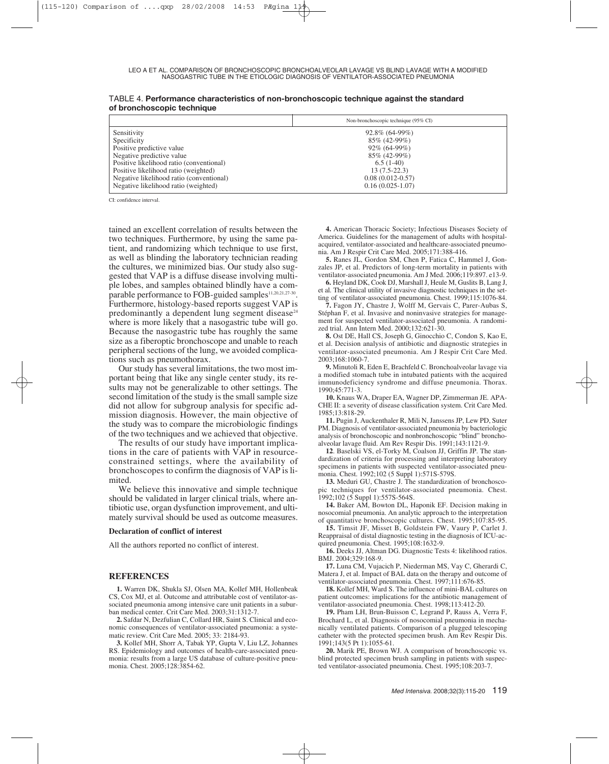|                                          | Non-bronchoscopic technique (95% CI) |
|------------------------------------------|--------------------------------------|
| Sensitivity                              | 92.8% (64-99%)                       |
| Specificity                              | 85% (42-99%)                         |
| Positive predictive value                | $92\% (64-99\%)$                     |
| Negative predictive value                | 85% (42-99%)                         |
| Positive likelihood ratio (conventional) | $6.5(1-40)$                          |
| Positive likelihood ratio (weighted)     | $13(7.5-22.3)$                       |
| Negative likelihood ratio (conventional) | $0.08(0.012-0.57)$                   |
| Negative likelihood ratio (weighted)     | $0.16(0.025-1.07)$                   |

TABLE 4. **Performance characteristics of non-bronchoscopic technique against the standard of bronchoscopic technique**

CI: confidence interval.

tained an excellent correlation of results between the two techniques. Furthermore, by using the same patient, and randomizing which technique to use first, as well as blinding the laboratory technician reading the cultures, we minimized bias. Our study also suggested that VAP is a diffuse disease involving multiple lobes, and samples obtained blindly have a comparable performance to FOB-guided samples<sup>11,20,21,27-30</sup>. Furthermore, histology-based reports suggest VAP is predominantly a dependent lung segment disease $24$ where is more likely that a nasogastric tube will go. Because the nasogastric tube has roughly the same size as a fiberoptic bronchoscope and unable to reach peripheral sections of the lung, we avoided complications such as pneumothorax.

Our study has several limitations, the two most important being that like any single center study, its results may not be generalizable to other settings. The second limitation of the study is the small sample size did not allow for subgroup analysis for specific admission diagnosis. However, the main objective of the study was to compare the microbiologic findings of the two techniques and we achieved that objective.

The results of our study have important implications in the care of patients with VAP in resourceconstrained settings, where the availability of bronchoscopes to confirm the diagnosis of VAP is limited.

We believe this innovative and simple technique should be validated in larger clinical trials, where antibiotic use, organ dysfunction improvement, and ultimately survival should be used as outcome measures.

#### **Declaration of conflict of interest**

All the authors reported no conflict of interest.

#### **REFERENCES**

**1.** Warren DK, Shukla SJ, Olsen MA, Kollef MH, Hollenbeak CS, Cox MJ, et al. Outcome and attributable cost of ventilator-associated pneumonia among intensive care unit patients in a suburban medical center. Crit Care Med. 2003;31:1312-7.

**2.** Safdar N, Dezfulian C, Collard HR, Saint S. Clinical and economic consequences of ventilator-associated pneumonia: a systematic review. Crit Care Med. 2005; 33: 2184-93.

**3.** Kollef MH, Shorr A, Tabak YP, Gupta V, Liu LZ, Johannes RS. Epidemiology and outcomes of health-care-associated pneumonia: results from a large US database of culture-positive pneumonia. Chest. 2005;128:3854-62.

**4.** American Thoracic Society; Infectious Diseases Society of America. Guidelines for the management of adults with hospitalacquired, ventilator-associated and healthcare-associated pneumonia. Am J Respir Crit Care Med. 2005;171:388-416.

**5.** Ranes JL, Gordon SM, Chen P, Fatica C, Hammel J, Gonzales JP, et al. Predictors of long-term mortality in patients with ventilator-associated pneumonia. Am J Med. 2006;119:897. e13-9.

**6.** Heyland DK, Cook DJ, Marshall J, Heule M, Guslits B, Lang J, et al. The clinical utility of invasive diagnostic techniques in the setting of ventilator-associated pneumonia. Chest. 1999;115:1076-84.

**7.** Fagon JY, Chastre J, Wolff M, Gervais C, Parer-Aubas S, Stéphan F, et al. Invasive and noninvasive strategies for management for suspected ventilator-associated pneumonia. A randomized trial. Ann Intern Med. 2000;132:621-30.

**8.** Ost DE, Hall CS, Joseph G, Ginocchio C, Condon S, Kao E, et al. Decision analysis of antibiotic and diagnostic strategies in ventilator-associated pneumonia. Am J Respir Crit Care Med. 2003;168:1060-7.

**9.** Minutoli R, Eden E, Brachfeld C. Bronchoalveolar lavage via a modified stomach tube in intubated patients with the acquired immunodeficiency syndrome and diffuse pneumonia. Thorax. 1990;45:771-3.

**10.** Knaus WA, Draper EA, Wagner DP, Zimmerman JE. APA-CHE II: a severity of disease classification system. Crit Care Med. 1985;13:818-29.

**11.** Pugin J, Auckenthaler R, Mili N, Janssens JP, Lew PD, Suter PM. Diagnosis of ventilator-associated pneumonia by bacteriologic analysis of bronchoscopic and nonbronchoscopic "blind" bronchoalveolar lavage fluid. Am Rev Respir Dis. 1991;143:1121-9.

**12**. Baselski VS, el-Torky M, Coalson JJ, Griffin JP. The standardization of criteria for processing and interpreting laboratory specimens in patients with suspected ventilator-associated pneumonia. Chest. 1992;102 (5 Suppl 1):571S-579S.

**13.** Meduri GU, Chastre J. The standardization of bronchoscopic techniques for ventilator-associated pneumonia. Chest. 1992;102 (5 Suppl 1):557S-564S.

**14.** Baker AM, Bowton DL, Haponik EF. Decision making in nosocomial pneumonia. An analytic approach to the interpretation of quantitative bronchoscopic cultures. Chest. 1995;107:85-95.

**15.** Timsit JF, Misset B, Goldstein FW, Vaury P, Carlet J. Reappraisal of distal diagnostic testing in the diagnosis of ICU-acquired pneumonia. Chest. 1995;108:1632-9.

**16.** Deeks JJ, Altman DG. Diagnostic Tests 4: likelihood ratios. BMJ. 2004;329:168-9.

**17.** Luna CM, Vujacich P, Niederman MS, Vay C, Gherardi C, Matera J, et al. Impact of BAL data on the therapy and outcome of ventilator-associated pneumonia. Chest. 1997;111:676-85.

**18.** Kollef MH, Ward S. The influence of mini-BAL cultures on patient outcomes: implications for the antibiotic management of ventilator-associated pneumonia. Chest. 1998;113:412-20.

**19.** Pham LH, Brun-Buisson C, Legrand P, Rauss A, Verra F, Brochard L, et al. Diagnosis of nosocomial pneumonia in mechanically ventilated patients. Comparison of a plugged telescoping catheter with the protected specimen brush. Am Rev Respir Dis. 1991;143(5 Pt 1):1055-61.

**20.** Marik PE, Brown WJ. A comparison of bronchoscopic vs. blind protected specimen brush sampling in patients with suspected ventilator-associated pneumonia. Chest. 1995;108:203-7.